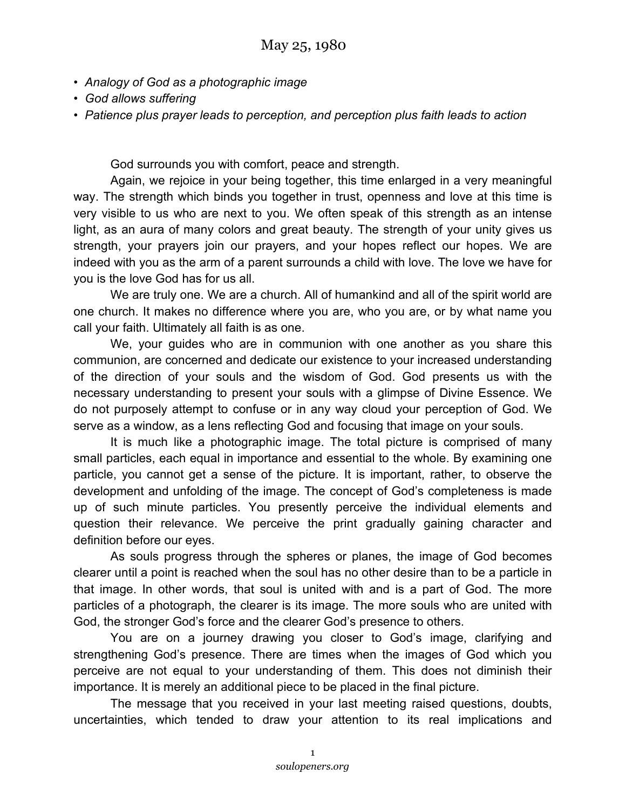- *• Analogy of God as a photographic image*
- *God allows suffering*
- *Patience plus prayer leads to perception, and perception plus faith leads to action*

God surrounds you with comfort, peace and strength.

Again, we rejoice in your being together, this time enlarged in a very meaningful way. The strength which binds you together in trust, openness and love at this time is very visible to us who are next to you. We often speak of this strength as an intense light, as an aura of many colors and great beauty. The strength of your unity gives us strength, your prayers join our prayers, and your hopes reflect our hopes. We are indeed with you as the arm of a parent surrounds a child with love. The love we have for you is the love God has for us all.

We are truly one. We are a church. All of humankind and all of the spirit world are one church. It makes no difference where you are, who you are, or by what name you call your faith. Ultimately all faith is as one.

We, your guides who are in communion with one another as you share this communion, are concerned and dedicate our existence to your increased understanding of the direction of your souls and the wisdom of God. God presents us with the necessary understanding to present your souls with a glimpse of Divine Essence. We do not purposely attempt to confuse or in any way cloud your perception of God. We serve as a window, as a lens reflecting God and focusing that image on your souls.

It is much like a photographic image. The total picture is comprised of many small particles, each equal in importance and essential to the whole. By examining one particle, you cannot get a sense of the picture. It is important, rather, to observe the development and unfolding of the image. The concept of God's completeness is made up of such minute particles. You presently perceive the individual elements and question their relevance. We perceive the print gradually gaining character and definition before our eyes.

As souls progress through the spheres or planes, the image of God becomes clearer until a point is reached when the soul has no other desire than to be a particle in that image. In other words, that soul is united with and is a part of God. The more particles of a photograph, the clearer is its image. The more souls who are united with God, the stronger God's force and the clearer God's presence to others.

You are on a journey drawing you closer to God's image, clarifying and strengthening God's presence. There are times when the images of God which you perceive are not equal to your understanding of them. This does not diminish their importance. It is merely an additional piece to be placed in the final picture.

The message that you received in your last meeting raised questions, doubts, uncertainties, which tended to draw your attention to its real implications and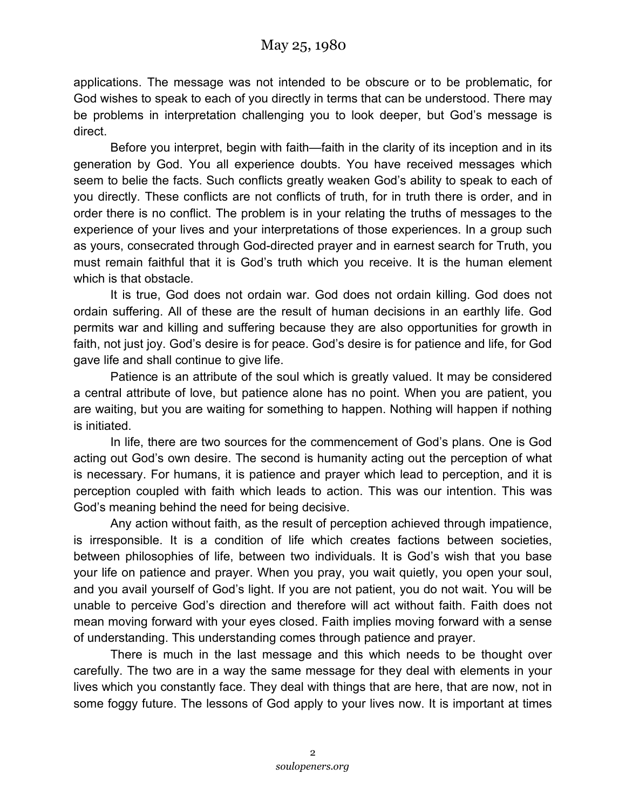applications. The message was not intended to be obscure or to be problematic, for God wishes to speak to each of you directly in terms that can be understood. There may be problems in interpretation challenging you to look deeper, but God's message is direct.

Before you interpret, begin with faith—faith in the clarity of its inception and in its generation by God. You all experience doubts. You have received messages which seem to belie the facts. Such conflicts greatly weaken God's ability to speak to each of you directly. These conflicts are not conflicts of truth, for in truth there is order, and in order there is no conflict. The problem is in your relating the truths of messages to the experience of your lives and your interpretations of those experiences. In a group such as yours, consecrated through God-directed prayer and in earnest search for Truth, you must remain faithful that it is God's truth which you receive. It is the human element which is that obstacle.

It is true, God does not ordain war. God does not ordain killing. God does not ordain suffering. All of these are the result of human decisions in an earthly life. God permits war and killing and suffering because they are also opportunities for growth in faith, not just joy. God's desire is for peace. God's desire is for patience and life, for God gave life and shall continue to give life.

Patience is an attribute of the soul which is greatly valued. It may be considered a central attribute of love, but patience alone has no point. When you are patient, you are waiting, but you are waiting for something to happen. Nothing will happen if nothing is initiated.

In life, there are two sources for the commencement of God's plans. One is God acting out God's own desire. The second is humanity acting out the perception of what is necessary. For humans, it is patience and prayer which lead to perception, and it is perception coupled with faith which leads to action. This was our intention. This was God's meaning behind the need for being decisive.

Any action without faith, as the result of perception achieved through impatience, is irresponsible. It is a condition of life which creates factions between societies, between philosophies of life, between two individuals. It is God's wish that you base your life on patience and prayer. When you pray, you wait quietly, you open your soul, and you avail yourself of God's light. If you are not patient, you do not wait. You will be unable to perceive God's direction and therefore will act without faith. Faith does not mean moving forward with your eyes closed. Faith implies moving forward with a sense of understanding. This understanding comes through patience and prayer.

There is much in the last message and this which needs to be thought over carefully. The two are in a way the same message for they deal with elements in your lives which you constantly face. They deal with things that are here, that are now, not in some foggy future. The lessons of God apply to your lives now. It is important at times